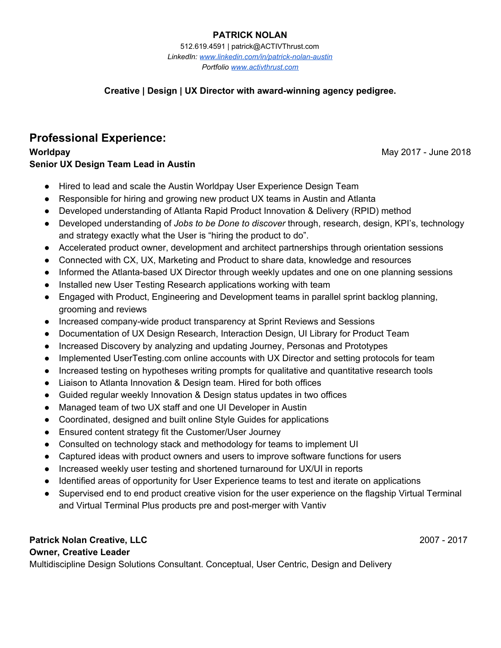### **PATRICK NOLAN**

512.619.4591 | patrick@ACTIVThrust.com *LinkedIn: [www.linkedin.com/in/patrick-nolan-austin](http://www.linkedin.com/in/patrick-nolan-austin) Portfolio [www.activthrust.com](http://www.activthrust.com/)*

### **Creative | Design | UX Director with award-winning agency pedigree.**

# **Professional Experience:**

**Worldpay** May 2017 - June 2018 **Senior UX Design Team Lead in Austin**

- Hired to lead and scale the Austin Worldpay User Experience Design Team
- Responsible for hiring and growing new product UX teams in Austin and Atlanta
- Developed understanding of Atlanta Rapid Product Innovation & Delivery (RPID) method
- Developed understanding of *Jobs to be Done to discover* through, research, design, KPI's, technology and strategy exactly what the User is "hiring the product to do".
- Accelerated product owner, development and architect partnerships through orientation sessions
- Connected with CX, UX, Marketing and Product to share data, knowledge and resources
- Informed the Atlanta-based UX Director through weekly updates and one on one planning sessions
- Installed new User Testing Research applications working with team
- Engaged with Product, Engineering and Development teams in parallel sprint backlog planning, grooming and reviews
- Increased company-wide product transparency at Sprint Reviews and Sessions
- Documentation of UX Design Research, Interaction Design, UI Library for Product Team
- Increased Discovery by analyzing and updating Journey, Personas and Prototypes
- Implemented UserTesting.com online accounts with UX Director and setting protocols for team
- Increased testing on hypotheses writing prompts for qualitative and quantitative research tools
- Liaison to Atlanta Innovation & Design team. Hired for both offices
- Guided regular weekly Innovation & Design status updates in two offices
- Managed team of two UX staff and one UI Developer in Austin
- Coordinated, designed and built online Style Guides for applications
- Ensured content strategy fit the Customer/User Journey
- Consulted on technology stack and methodology for teams to implement UI
- Captured ideas with product owners and users to improve software functions for users
- Increased weekly user testing and shortened turnaround for UX/UI in reports
- Identified areas of opportunity for User Experience teams to test and iterate on applications
- Supervised end to end product creative vision for the user experience on the flagship Virtual Terminal and Virtual Terminal Plus products pre and post-merger with Vantiv

### **Patrick Nolan Creative, LLC** 2007 - 2017

### **Owner, Creative Leader**

Multidiscipline Design Solutions Consultant. Conceptual, User Centric, Design and Delivery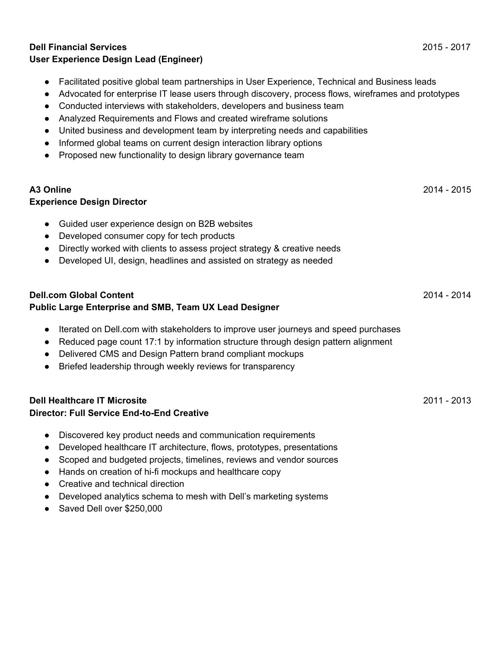#### **Dell Financial Services** 2015 - 2017 **User Experience Design Lead (Engineer)**

- Facilitated positive global team partnerships in User Experience, Technical and Business leads
- Advocated for enterprise IT lease users through discovery, process flows, wireframes and prototypes
- Conducted interviews with stakeholders, developers and business team
- Analyzed Requirements and Flows and created wireframe solutions
- United business and development team by interpreting needs and capabilities
- Informed global teams on current design interaction library options
- Proposed new functionality to design library governance team

# **A3 Online** 2014 - 2015

### **Experience Design Director**

- Guided user experience design on B2B websites
- Developed consumer copy for tech products
- Directly worked with clients to assess project strategy & creative needs
- Developed UI, design, headlines and assisted on strategy as needed

### **Dell.com Global Content** 2014 - 2014 **Public Large Enterprise and SMB, Team UX Lead Designer**

- Iterated on Dell.com with stakeholders to improve user journeys and speed purchases
- Reduced page count 17:1 by information structure through design pattern alignment
- Delivered CMS and Design Pattern brand compliant mockups
- Briefed leadership through weekly reviews for transparency

#### **Dell Healthcare IT Microsite** 2011 - 2013 **Director: Full Service End-to-End Creative**

- Discovered key product needs and communication requirements
- Developed healthcare IT architecture, flows, prototypes, presentations
- Scoped and budgeted projects, timelines, reviews and vendor sources
- Hands on creation of hi-fi mockups and healthcare copy
- Creative and technical direction
- Developed analytics schema to mesh with Dell's marketing systems
- Saved Dell over \$250,000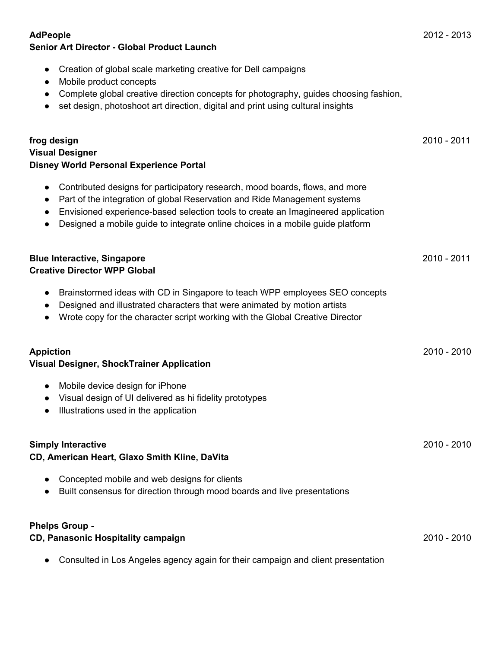| Creation of global scale marketing creative for Dell campaigns<br>$\bullet$<br>Mobile product concepts<br>$\bullet$<br>Complete global creative direction concepts for photography, guides choosing fashion,<br>$\bullet$<br>set design, photoshoot art direction, digital and print using cultural insights<br>$\bullet$                                                           |               |
|-------------------------------------------------------------------------------------------------------------------------------------------------------------------------------------------------------------------------------------------------------------------------------------------------------------------------------------------------------------------------------------|---------------|
| frog design<br><b>Visual Designer</b><br><b>Disney World Personal Experience Portal</b>                                                                                                                                                                                                                                                                                             | 2010 - 2011   |
| Contributed designs for participatory research, mood boards, flows, and more<br>$\bullet$<br>Part of the integration of global Reservation and Ride Management systems<br>$\bullet$<br>Envisioned experience-based selection tools to create an Imagineered application<br>$\bullet$<br>Designed a mobile guide to integrate online choices in a mobile guide platform<br>$\bullet$ |               |
| <b>Blue Interactive, Singapore</b><br><b>Creative Director WPP Global</b>                                                                                                                                                                                                                                                                                                           | $2010 - 2011$ |
| Brainstormed ideas with CD in Singapore to teach WPP employees SEO concepts<br>$\bullet$<br>Designed and illustrated characters that were animated by motion artists<br>$\bullet$<br>Wrote copy for the character script working with the Global Creative Director<br>$\bullet$                                                                                                     |               |
| <b>Appiction</b><br><b>Visual Designer, ShockTrainer Application</b>                                                                                                                                                                                                                                                                                                                | 2010 - 2010   |
| Mobile device design for iPhone<br>$\bullet$<br>Visual design of UI delivered as hi fidelity prototypes<br>$\bullet$<br>Illustrations used in the application<br>$\bullet$                                                                                                                                                                                                          |               |
| <b>Simply Interactive</b><br>CD, American Heart, Glaxo Smith Kline, DaVita                                                                                                                                                                                                                                                                                                          | $2010 - 2010$ |
| Concepted mobile and web designs for clients<br>Built consensus for direction through mood boards and live presentations                                                                                                                                                                                                                                                            |               |
| <b>Phelps Group -</b><br>CD, Panasonic Hospitality campaign                                                                                                                                                                                                                                                                                                                         | 2010 - 2010   |
| Consulted in Los Angeles agency again for their campaign and client presentation                                                                                                                                                                                                                                                                                                    |               |

### **AdPeople** 2012 - 2013 **Senior Art Director - Global Product Launch**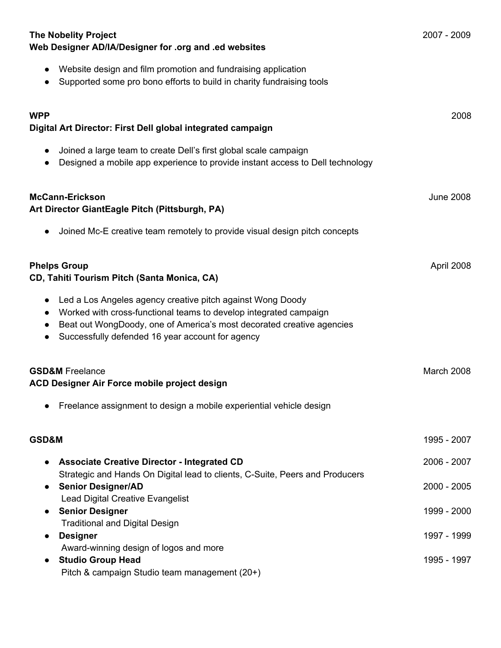| <b>The Nobelity Project</b><br>Web Designer AD/IA/Designer for .org and .ed websites                                                                                                                                                                                                   | 2007 - 2009      |
|----------------------------------------------------------------------------------------------------------------------------------------------------------------------------------------------------------------------------------------------------------------------------------------|------------------|
| Website design and film promotion and fundraising application<br>$\bullet$<br>Supported some pro bono efforts to build in charity fundraising tools                                                                                                                                    |                  |
| <b>WPP</b><br>Digital Art Director: First Dell global integrated campaign                                                                                                                                                                                                              | 2008             |
| Joined a large team to create Dell's first global scale campaign<br>Designed a mobile app experience to provide instant access to Dell technology<br>$\bullet$                                                                                                                         |                  |
| <b>McCann-Erickson</b><br>Art Director GiantEagle Pitch (Pittsburgh, PA)                                                                                                                                                                                                               | <b>June 2008</b> |
| Joined Mc-E creative team remotely to provide visual design pitch concepts<br>$\bullet$                                                                                                                                                                                                |                  |
| <b>Phelps Group</b><br>CD, Tahiti Tourism Pitch (Santa Monica, CA)                                                                                                                                                                                                                     | April 2008       |
| Led a Los Angeles agency creative pitch against Wong Doody<br>$\bullet$<br>Worked with cross-functional teams to develop integrated campaign<br>Beat out WongDoody, one of America's most decorated creative agencies<br>Successfully defended 16 year account for agency<br>$\bullet$ |                  |
| <b>GSD&amp;M</b> Freelance<br>ACD Designer Air Force mobile project design                                                                                                                                                                                                             | March 2008       |
| Freelance assignment to design a mobile experiential vehicle design                                                                                                                                                                                                                    |                  |
| GSD&M                                                                                                                                                                                                                                                                                  | 1995 - 2007      |
| <b>Associate Creative Director - Integrated CD</b>                                                                                                                                                                                                                                     | 2006 - 2007      |
| Strategic and Hands On Digital lead to clients, C-Suite, Peers and Producers<br><b>Senior Designer/AD</b><br>$\bullet$                                                                                                                                                                 | $2000 - 2005$    |
| Lead Digital Creative Evangelist<br><b>Senior Designer</b><br>$\bullet$                                                                                                                                                                                                                | 1999 - 2000      |
| <b>Traditional and Digital Design</b><br><b>Designer</b>                                                                                                                                                                                                                               | 1997 - 1999      |
| Award-winning design of logos and more<br><b>Studio Group Head</b><br>Pitch & campaign Studio team management (20+)                                                                                                                                                                    | 1995 - 1997      |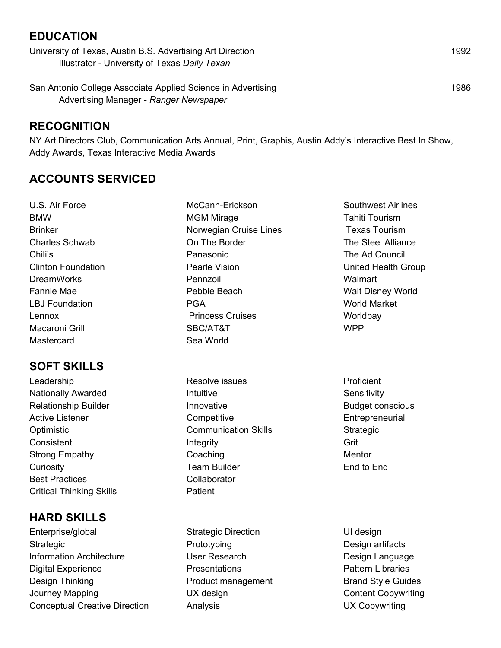# **EDUCATION**

University of Texas, Austin B.S. Advertising Art Direction 1992 Illustrator - University of Texas *Daily Texan*

San Antonio College Associate Applied Science in Advertising 1986 Advertising Manager - *Ranger Newspaper*

## **RECOGNITION**

NY Art Directors Club, Communication Arts Annual, Print, Graphis, Austin Addy's Interactive Best In Show, Addy Awards, Texas Interactive Media Awards

# **ACCOUNTS SERVICED**

U.S. Air Force BMW Brinker Charles Schwab Chili's Clinton Foundation DreamWorks Fannie Mae LBJ Foundation Lennox Macaroni Grill **Mastercard** 

# **SOFT SKILLS**

Leadership Nationally Awarded Relationship Builder Active Listener **Optimistic Consistent** Strong Empathy **Curiosity** Best Practices Critical Thinking Skills

# **HARD SKILLS**

Enterprise/global **Strategic** Information Architecture Digital Experience Design Thinking Journey Mapping Conceptual Creative Direction McCann-Erickson MGM Mirage Norwegian Cruise Lines On The Border Panasonic Pearle Vision Pennzoil Pebble Beach PGA Princess Cruises SBC/AT&T Sea World

Resolve issues **Intuitive** Innovative **Competitive** Communication Skills Integrity Coaching Team Builder **Collaborator Patient** 

Strategic Direction Prototyping User Research **Presentations** Product management UX design Analysis

Southwest Airlines Tahiti Tourism Texas Tourism The Steel Alliance The Ad Council United Health Group **Walmart** Walt Disney World World Market **Worldpay** WPP

**Proficient Sensitivity** Budget conscious **Entrepreneurial** Strategic Grit Mentor End to End

UI design Design artifacts Design Language Pattern Libraries Brand Style Guides Content Copywriting UX Copywriting